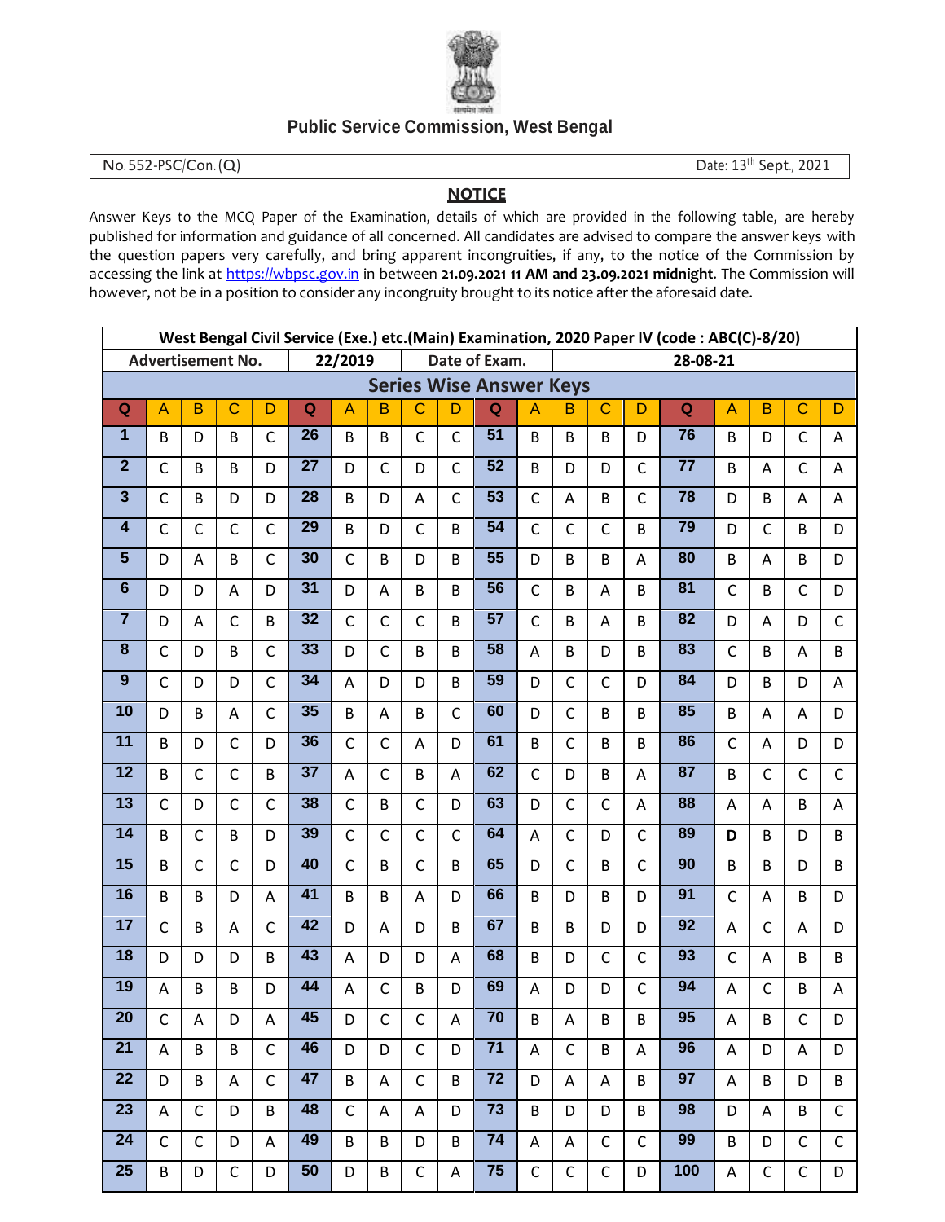

## **Public Service Commission, West Bengal**

No. 552-PSC/Con. (Q) Date: 13<sup>th</sup> Sept., 2021

## **NOTICE**

Answer Keys to the MCQ Paper of the Examination, details of which are provided in the following table, are hereby published for information and guidance of all concerned. All candidates are advised to compare the answer keys with the question papers very carefully, and bring apparent incongruities, if any, to the notice of the Commission by accessing the link at https://wbpsc.gov.in in between **21.09.2021 11 AM and 23.09.2021 midnight**. The Commission will however, not be in a position to consider any incongruity brought to its notice after the aforesaid date.

| West Bengal Civil Service (Exe.) etc.(Main) Examination, 2020 Paper IV (code: ABC(C)-8/20) |                |                           |              |                          |                 |              |                |                         |                |                 |                |              |              |              |                 |                |                 |                |                         |
|--------------------------------------------------------------------------------------------|----------------|---------------------------|--------------|--------------------------|-----------------|--------------|----------------|-------------------------|----------------|-----------------|----------------|--------------|--------------|--------------|-----------------|----------------|-----------------|----------------|-------------------------|
|                                                                                            |                | <b>Advertisement No.</b>  |              | 22/2019<br>Date of Exam. |                 |              |                |                         |                |                 |                | 28-08-21     |              |              |                 |                |                 |                |                         |
| <b>Series Wise Answer Keys</b>                                                             |                |                           |              |                          |                 |              |                |                         |                |                 |                |              |              |              |                 |                |                 |                |                         |
| $\mathbf Q$                                                                                | $\overline{A}$ | B                         | $\mathbf C$  | D                        | Q               | A            | в              | $\overline{C}$          | D              | Q               | $\overline{A}$ | B            | $\mathbf C$  | D            | $\mathbf Q$     | $\overline{A}$ | $\overline{B}$  | $\overline{C}$ | D                       |
| 1                                                                                          | B              | D                         | B            | $\mathsf{C}$             | 26              | B            | B              | $\mathsf{C}$            | $\mathsf{C}$   | $\overline{51}$ | B              | B            | B            | D            | 76              | B              | D               | $\mathsf{C}$   | A                       |
| $\overline{2}$                                                                             | $\mathsf{C}$   | B                         | B            | D                        | $\overline{27}$ | D            | $\mathsf{C}$   | D                       | $\mathsf{C}$   | $\overline{52}$ | B              | D            | D            | $\mathsf{C}$ | $\overline{77}$ | B              | Α               | $\mathsf{C}$   | A                       |
| $\overline{\mathbf{3}}$                                                                    | $\mathsf C$    | B                         | D            | D                        | $\overline{28}$ | B            | D              | A                       | $\mathsf{C}$   | $\overline{53}$ | $\mathsf{C}$   | A            | B            | $\mathsf{C}$ | 78              | D              | B               | A              | A                       |
| $\overline{\mathbf{4}}$                                                                    | $\mathsf C$    | $\mathsf{C}$              | $\mathsf{C}$ | $\mathsf{C}$             | 29              | B            | D              | $\mathsf{C}$            | B              | 54              | $\mathsf{C}$   | $\mathsf C$  | $\mathsf{C}$ | B            | 79              | D              | $\mathsf{C}$    | B              | D                       |
| $\overline{\mathbf{5}}$                                                                    | D              | A                         | B            | $\mathsf{C}$             | 30              | $\mathsf{C}$ | B              | D                       | B              | $\overline{55}$ | D              | B            | B            | Α            | 80              | B              | $\overline{A}$  | B              | D                       |
| $\overline{6}$                                                                             | D              | D                         | A            | D                        | $\overline{31}$ | D            | A              | B                       | B              | 56              | $\mathsf{C}$   | B            | A            | B            | $\overline{81}$ | $\mathsf C$    | B               | $\mathsf{C}$   | D                       |
| $\overline{7}$                                                                             | D              | A                         | $\mathsf{C}$ | B                        | 32              | $\mathsf{C}$ | $\mathsf{C}$   | $\mathsf{C}$            | B              | $\overline{57}$ | $\mathsf{C}$   | B            | A            | <sub>B</sub> | $\overline{82}$ | D              | A               | D              | $\mathsf{C}$            |
| $\bf{8}$                                                                                   | $\mathsf C$    | D                         | B            | $\mathsf{C}$             | 33              | D            | $\mathsf{C}$   | B                       | B              | 58              | A              | B            | D            | B            | 83              | $\mathsf C$    | B               | Α              | B                       |
| $\boldsymbol{9}$                                                                           | $\mathsf{C}$   | D                         | D            | $\mathsf{C}$             | 34              | A            | D              | D                       | B              | 59              | D              | $\mathsf{C}$ | $\mathsf{C}$ | D            | 84              | D              | B               | D              | A                       |
| 10                                                                                         | D              | B                         | A            | $\mathsf{C}$             | 35              | B            | A              | B                       | $\mathsf{C}$   | 60              | D              | $\mathsf{C}$ | B            | B            | 85              | B              | A               | A              | D                       |
| 11                                                                                         | B              | D                         | $\mathsf{C}$ | D                        | 36              | $\mathsf{C}$ | $\mathsf{C}$   | Α                       | D              | 61              | B              | $\mathsf C$  | B            | B            | 86              | $\mathsf C$    | A               | D              | D                       |
| 12                                                                                         | B              | $\mathsf{C}$              | $\mathsf{C}$ | B                        | 37              | A            | $\mathsf{C}$   | B                       | Α              | 62              | $\mathsf{C}$   | D            | B            | Α            | 87              | B              | $\mathsf C$     | $\mathsf{C}$   | $\mathsf{C}$            |
| 13                                                                                         | $\mathsf{C}$   | D                         | $\mathsf{C}$ | $\mathsf{C}$             | 38              | $\mathsf{C}$ | B              | $\mathsf{C}$            | D              | 63              | D              | $\mathsf{C}$ | $\mathsf{C}$ | A            | 88              | A              | A               | B              | $\mathsf{A}$            |
| $\overline{14}$                                                                            | B              | $\mathsf{C}$              | B            | D                        | 39              | $\mathsf{C}$ | $\mathsf{C}$   | $\mathsf{C}$            | $\mathsf{C}$   | 64              | A              | $\mathsf{C}$ | D            | $\mathsf{C}$ | 89              | D              | B               | D              | B                       |
| 15                                                                                         | B              | $\mathsf{C}$              | $\mathsf{C}$ | D                        | 40              | $\mathsf{C}$ | B              | $\mathsf{C}$            | B              | 65              | D              | $\mathsf{C}$ | B            | $\mathsf{C}$ | 90              | B              | B               | D              | B                       |
| 16                                                                                         | B              | B                         | D            | A                        | 41              | B            | B              | A                       | D              | 66              | B              | D            | B            | D            | $\overline{91}$ | $\mathsf C$    | $\overline{A}$  | B              | D                       |
| 17                                                                                         | $\mathsf{C}$   | B                         | A            | $\mathsf{C}$             | 42              | D            | A              | D                       | B              | 67              | B              | B            | D            | D            | 92              | A              | $\mathsf{C}$    | A              | D                       |
| 18                                                                                         | D              | D                         | D            | B                        | 43              | A            | D              | D                       | Α              | 68              | B              | D            | $\mathsf{C}$ | $\mathsf{C}$ | 93              | $\mathsf C$    | A               | B              | B                       |
| $\overline{19}$                                                                            | A              | B                         | B            | D                        | 44              | A            | $\mathsf{C}$   | B                       | D              | 69              | A              | D            | D            | $\mathsf{C}$ | $\overline{94}$ | A              | $\mathsf{C}$    | B              | A                       |
| $\overline{20}$                                                                            | $\mathsf{C}$   | $\boldsymbol{\mathsf{A}}$ | D            | $\mathsf{A}$             | 45              | D            | $\overline{C}$ | $\overline{\mathsf{C}}$ | $\overline{A}$ | 70              | $\mathsf B$    | $\mathsf{A}$ | $\mathsf{B}$ | $\mathsf B$  | $\overline{95}$ | $\mathsf A$    | $\, {\bf B} \,$ | $\mathsf{C}$   | $\overline{\mathsf{D}}$ |
| 21                                                                                         | A              | B                         | B            | $\mathsf{C}$             | 46              | D            | D              | $\mathsf{C}$            | D              | $71$            | A              | $\mathsf C$  | B            | Α            | 96              | A              | D               | A              | D                       |
| 22                                                                                         | D              | B                         | A            | $\mathsf{C}$             | 47              | B            | A              | $\mathsf{C}$            | B              | 72              | D              | A            | A            | B            | 97              | A              | B               | D              | B                       |
| $\overline{23}$                                                                            | A              | $\mathsf{C}$              | D            | B                        | 48              | $\mathsf{C}$ | A              | A                       | D              | $\overline{73}$ | B              | D            | D            | B            | 98              | D              | A               | B              | $\mathsf{C}$            |
| 24                                                                                         | $\mathsf C$    | $\mathsf{C}$              | D            | A                        | 49              | B            | B              | D                       | B              | 74              | Α              | Α            | $\mathsf{C}$ | C            | 99              | B              | D               | C              | $\mathsf{C}$            |
| 25                                                                                         | B              | D                         | $\mathsf C$  | D                        | 50              | D            | B              | $\mathsf{C}$            | Α              | 75              | $\mathsf{C}$   | $\mathsf{C}$ | $\mathsf{C}$ | D            | 100             | A              | $\mathsf{C}$    | C              | D                       |